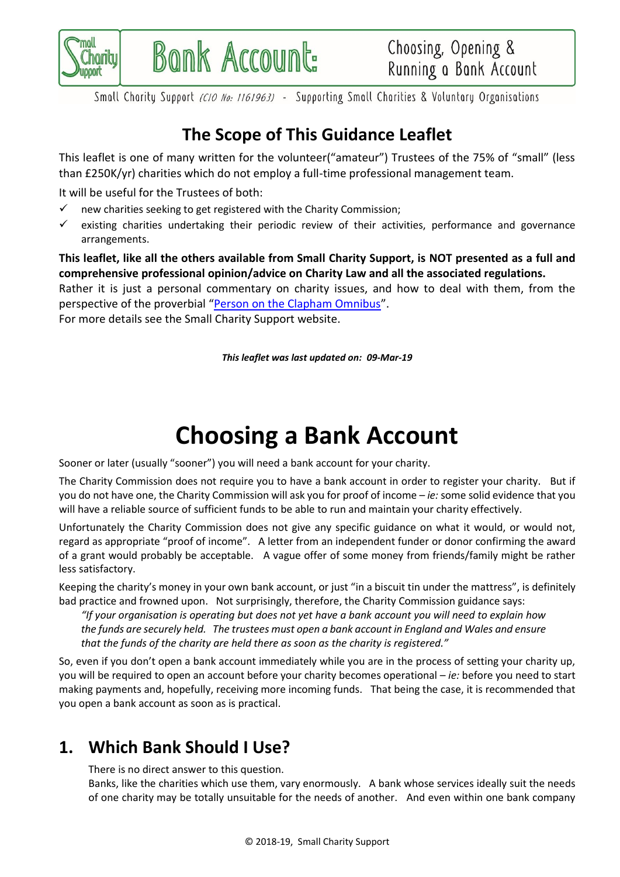

Small Charity Support (CIO No: 1161963) - Supporting Small Charities & Voluntary Organisations

# **The Scope of This Guidance Leaflet**

This leaflet is one of many written for the volunteer("amateur") Trustees of the 75% of "small" (less than £250K/yr) charities which do not employ a full-time professional management team.

It will be useful for the Trustees of both:

 $\checkmark$  new charities seeking to get registered with the Charity Commission;

Bonk Account:

 $\checkmark$  existing charities undertaking their periodic review of their activities, performance and governance arrangements.

**This leaflet, like all the others available from Small Charity Support, is NOT presented as a full and comprehensive professional opinion/advice on Charity Law and all the associated regulations.**

Rather it is just a personal commentary on charity issues, and how to deal with them, from the perspective of the proverbial "[Person on the Clapham Omnibus](https://en.wikipedia.org/wiki/The_man_on_the_Clapham_omnibus)".

For more details see the Small Charity Support website.

*This leaflet was last updated on: 09-Mar-19*

# **Choosing a Bank Account**

Sooner or later (usually "sooner") you will need a bank account for your charity.

The Charity Commission does not require you to have a bank account in order to register your charity. But if you do not have one, the Charity Commission will ask you for proof of income – *ie:* some solid evidence that you will have a reliable source of sufficient funds to be able to run and maintain your charity effectively.

Unfortunately the Charity Commission does not give any specific guidance on what it would, or would not, regard as appropriate "proof of income". A letter from an independent funder or donor confirming the award of a grant would probably be acceptable. A vague offer of some money from friends/family might be rather less satisfactory.

Keeping the charity's money in your own bank account, or just "in a biscuit tin under the mattress", is definitely bad practice and frowned upon. Not surprisingly, therefore, the Charity Commission guidance says:

*"If your organisation is operating but does not yet have a bank account you will need to explain how the funds are securely held. The trustees must open a bank account in England and Wales and ensure that the funds of the charity are held there as soon as the charity is registered."*

So, even if you don't open a bank account immediately while you are in the process of setting your charity up, you will be required to open an account before your charity becomes operational – *ie:* before you need to start making payments and, hopefully, receiving more incoming funds. That being the case, it is recommended that you open a bank account as soon as is practical.

# <span id="page-0-0"></span>**1. Which Bank Should I Use?**

There is no direct answer to this question.

Banks, like the charities which use them, vary enormously. A bank whose services ideally suit the needs of one charity may be totally unsuitable for the needs of another. And even within one bank company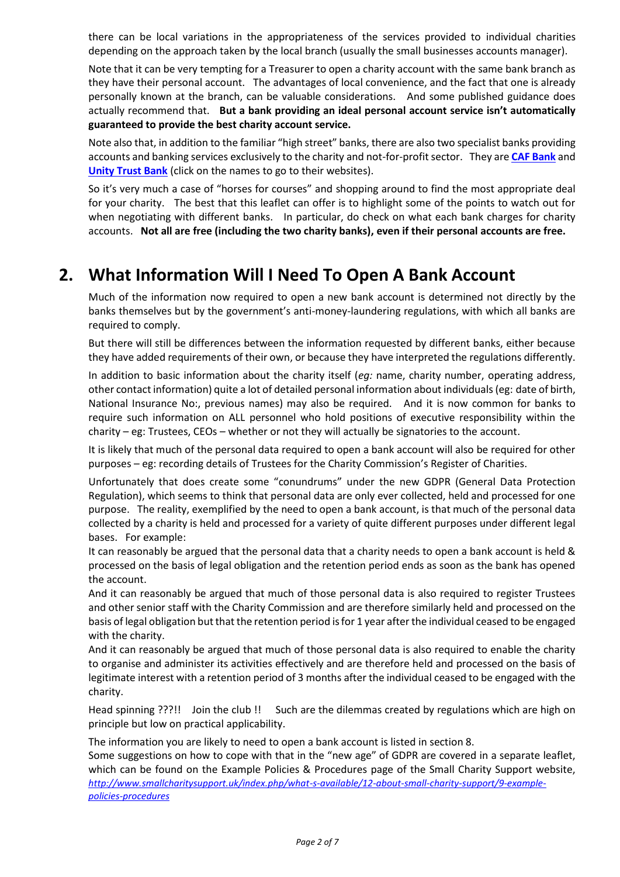there can be local variations in the appropriateness of the services provided to individual charities depending on the approach taken by the local branch (usually the small businesses accounts manager).

Note that it can be very tempting for a Treasurer to open a charity account with the same bank branch as they have their personal account. The advantages of local convenience, and the fact that one is already personally known at the branch, can be valuable considerations. And some published guidance does actually recommend that. **But a bank providing an ideal personal account service isn't automatically guaranteed to provide the best charity account service.**

Note also that, in addition to the familiar "high street" banks, there are also two specialist banks providing accounts and banking services exclusively to the charity and not-for-profit sector. They are **[CAF Bank](https://www.cafonline.org/caf-bank)** and **[Unity Trust Bank](https://www.unity.co.uk/)** (click on the names to go to their websites).

So it's very much a case of "horses for courses" and shopping around to find the most appropriate deal for your charity. The best that this leaflet can offer is to highlight some of the points to watch out for when negotiating with different banks. In particular, do check on what each bank charges for charity accounts. **Not all are free (including the two charity banks), even if their personal accounts are free.**

# **2. What Information Will I Need To Open A Bank Account**

Much of the information now required to open a new bank account is determined not directly by the banks themselves but by the government's anti-money-laundering regulations, with which all banks are required to comply.

But there will still be differences between the information requested by different banks, either because they have added requirements of their own, or because they have interpreted the regulations differently.

In addition to basic information about the charity itself (*eg:* name, charity number, operating address, other contact information) quite a lot of detailed personal information about individuals (eg: date of birth, National Insurance No:, previous names) may also be required. And it is now common for banks to require such information on ALL personnel who hold positions of executive responsibility within the charity – eg: Trustees, CEOs – whether or not they will actually be signatories to the account.

It is likely that much of the personal data required to open a bank account will also be required for other purposes – eg: recording details of Trustees for the Charity Commission's Register of Charities.

Unfortunately that does create some "conundrums" under the new GDPR (General Data Protection Regulation), which seems to think that personal data are only ever collected, held and processed for one purpose. The reality, exemplified by the need to open a bank account, is that much of the personal data collected by a charity is held and processed for a variety of quite different purposes under different legal bases. For example:

It can reasonably be argued that the personal data that a charity needs to open a bank account is held & processed on the basis of legal obligation and the retention period ends as soon as the bank has opened the account.

And it can reasonably be argued that much of those personal data is also required to register Trustees and other senior staff with the Charity Commission and are therefore similarly held and processed on the basis of legal obligation but that the retention period isfor 1 year after the individual ceased to be engaged with the charity.

And it can reasonably be argued that much of those personal data is also required to enable the charity to organise and administer its activities effectively and are therefore held and processed on the basis of legitimate interest with a retention period of 3 months after the individual ceased to be engaged with the charity.

Head spinning ???!! Join the club !! Such are the dilemmas created by regulations which are high on principle but low on practical applicability.

The information you are likely to need to open a bank account is listed in sectio[n 8.](#page-6-0)

Some suggestions on how to cope with that in the "new age" of GDPR are covered in a separate leaflet, which can be found on the Example Policies & Procedures page of the Small Charity Support website, *[http://www.smallcharitysupport.uk/index.php/what-s-available/12-about-small-charity-support/9-example](http://www.smallcharitysupport.uk/index.php/what-s-available/12-about-small-charity-support/9-example-policies-procedures)[policies-procedures](http://www.smallcharitysupport.uk/index.php/what-s-available/12-about-small-charity-support/9-example-policies-procedures)*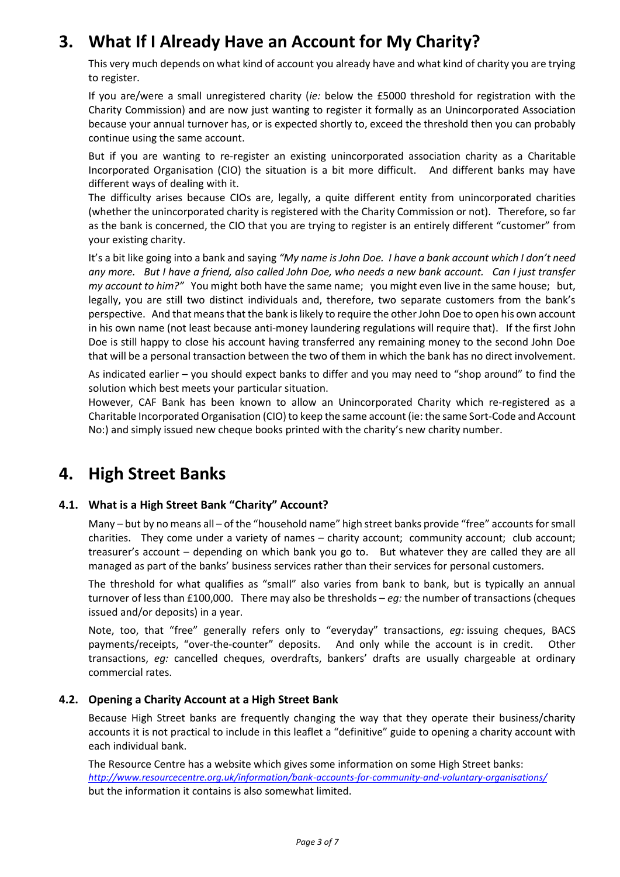# **3. What If I Already Have an Account for My Charity?**

This very much depends on what kind of account you already have and what kind of charity you are trying to register.

If you are/were a small unregistered charity (*ie:* below the £5000 threshold for registration with the Charity Commission) and are now just wanting to register it formally as an Unincorporated Association because your annual turnover has, or is expected shortly to, exceed the threshold then you can probably continue using the same account.

But if you are wanting to re-register an existing unincorporated association charity as a Charitable Incorporated Organisation (CIO) the situation is a bit more difficult. And different banks may have different ways of dealing with it.

The difficulty arises because CIOs are, legally, a quite different entity from unincorporated charities (whether the unincorporated charity is registered with the Charity Commission or not). Therefore, so far as the bank is concerned, the CIO that you are trying to register is an entirely different "customer" from your existing charity.

It's a bit like going into a bank and saying *"My name is John Doe. I have a bank account which I don't need any more. But I have a friend, also called John Doe, who needs a new bank account. Can I just transfer my account to him?"* You might both have the same name; you might even live in the same house; but, legally, you are still two distinct individuals and, therefore, two separate customers from the bank's perspective. And that means that the bank is likely to require the other John Doe to open his own account in his own name (not least because anti-money laundering regulations will require that). If the first John Doe is still happy to close his account having transferred any remaining money to the second John Doe that will be a personal transaction between the two of them in which the bank has no direct involvement.

As indicated earlier – you should expect banks to differ and you may need to "shop around" to find the solution which best meets your particular situation.

However, CAF Bank has been known to allow an Unincorporated Charity which re-registered as a Charitable Incorporated Organisation (CIO) to keep the same account (ie: the same Sort-Code and Account No:) and simply issued new cheque books printed with the charity's new charity number.

# **4. High Street Banks**

### **4.1. What is a High Street Bank "Charity" Account?**

Many – but by no means all – of the "household name" high street banks provide "free" accounts for small charities. They come under a variety of names – charity account; community account; club account; treasurer's account – depending on which bank you go to. But whatever they are called they are all managed as part of the banks' business services rather than their services for personal customers.

The threshold for what qualifies as "small" also varies from bank to bank, but is typically an annual turnover of less than £100,000. There may also be thresholds – *eg:* the number of transactions (cheques issued and/or deposits) in a year.

Note, too, that "free" generally refers only to "everyday" transactions, *eg:* issuing cheques, BACS payments/receipts, "over-the-counter" deposits. And only while the account is in credit. Other transactions, *eg:* cancelled cheques, overdrafts, bankers' drafts are usually chargeable at ordinary commercial rates.

### **4.2. Opening a Charity Account at a High Street Bank**

Because High Street banks are frequently changing the way that they operate their business/charity accounts it is not practical to include in this leaflet a "definitive" guide to opening a charity account with each individual bank.

The Resource Centre has a website which gives some information on some High Street banks: *<http://www.resourcecentre.org.uk/information/bank-accounts-for-community-and-voluntary-organisations/>* but the information it contains is also somewhat limited.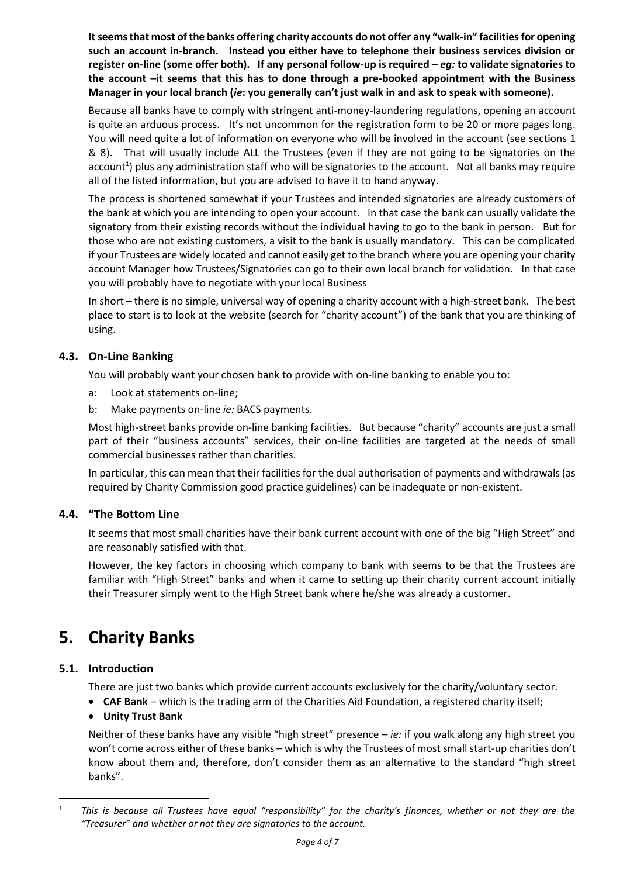**It seems that most of the banks offering charity accounts do not offer any "walk-in" facilities for opening such an account in-branch. Instead you either have to telephone their business services division or register on-line (some offer both). If any personal follow-up is required –** *eg:* **to validate signatories to the account –it seems that this has to done through a pre-booked appointment with the Business Manager in your local branch (***ie***: you generally can't just walk in and ask to speak with someone).**

Because all banks have to comply with stringent anti-money-laundering regulations, opening an account is quite an arduous process. It's not uncommon for the registration form to be 20 or more pages long. You will need quite a lot of information on everyone who will be involved in the account (see sections [1](#page-0-0) & [8\)](#page-6-0). That will usually include ALL the Trustees (even if they are not going to be signatories on the account<sup>1</sup>) plus any administration staff who will be signatories to the account. Not all banks may require all of the listed information, but you are advised to have it to hand anyway.

The process is shortened somewhat if your Trustees and intended signatories are already customers of the bank at which you are intending to open your account. In that case the bank can usually validate the signatory from their existing records without the individual having to go to the bank in person. But for those who are not existing customers, a visit to the bank is usually mandatory. This can be complicated if your Trustees are widely located and cannot easily get to the branch where you are opening your charity account Manager how Trustees/Signatories can go to their own local branch for validation. In that case you will probably have to negotiate with your local Business

In short – there is no simple, universal way of opening a charity account with a high-street bank. The best place to start is to look at the website (search for "charity account") of the bank that you are thinking of using.

### **4.3. On-Line Banking**

You will probably want your chosen bank to provide with on-line banking to enable you to:

- a: Look at statements on-line;
- b: Make payments on-line *ie:* BACS payments.

Most high-street banks provide on-line banking facilities. But because "charity" accounts are just a small part of their "business accounts" services, their on-line facilities are targeted at the needs of small commercial businesses rather than charities.

In particular, this can mean that their facilities for the dual authorisation of payments and withdrawals (as required by Charity Commission good practice guidelines) can be inadequate or non-existent.

### **4.4. "The Bottom Line**

It seems that most small charities have their bank current account with one of the big "High Street" and are reasonably satisfied with that.

However, the key factors in choosing which company to bank with seems to be that the Trustees are familiar with "High Street" banks and when it came to setting up their charity current account initially their Treasurer simply went to the High Street bank where he/she was already a customer.

# **5. Charity Banks**

### **5.1. Introduction**

-

There are just two banks which provide current accounts exclusively for the charity/voluntary sector.

• **CAF Bank** – which is the trading arm of the Charities Aid Foundation, a registered charity itself;

### • **Unity Trust Bank**

Neither of these banks have any visible "high street" presence – *ie:* if you walk along any high street you won't come across either of these banks – which is why the Trustees of most small start-up charities don't know about them and, therefore, don't consider them as an alternative to the standard "high street banks".

<sup>1</sup> *This is because all Trustees have equal "responsibility" for the charity's finances, whether or not they are the "Treasurer" and whether or not they are signatories to the account.*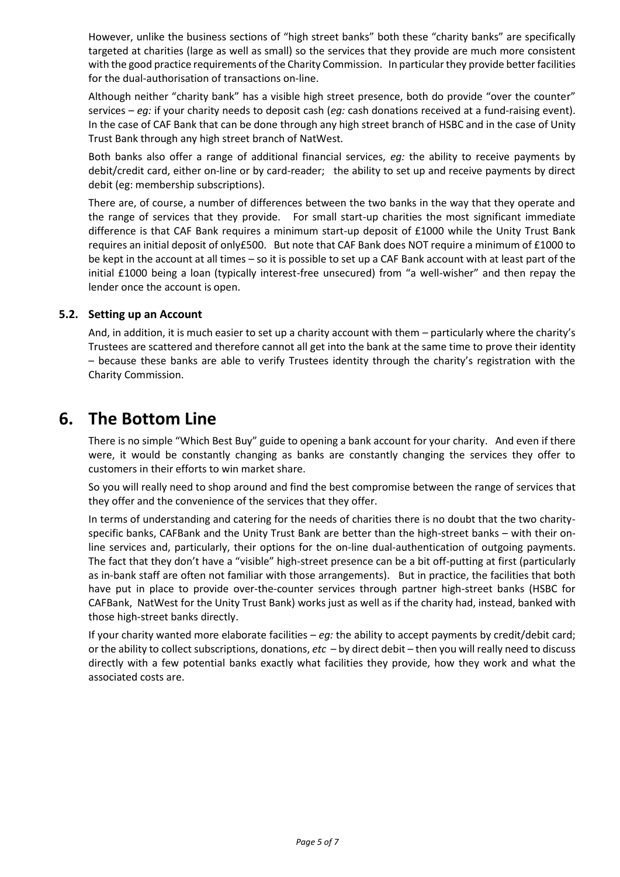However, unlike the business sections of "high street banks" both these "charity banks" are specifically targeted at charities (large as well as small) so the services that they provide are much more consistent with the good practice requirements of the Charity Commission. In particular they provide better facilities for the dual-authorisation of transactions on-line.

Although neither "charity bank" has a visible high street presence, both do provide "over the counter" services – *eg:* if your charity needs to deposit cash (*eg:* cash donations received at a fund-raising event). In the case of CAF Bank that can be done through any high street branch of HSBC and in the case of Unity Trust Bank through any high street branch of NatWest.

Both banks also offer a range of additional financial services, *eg:* the ability to receive payments by debit/credit card, either on-line or by card-reader; the ability to set up and receive payments by direct debit (eg: membership subscriptions).

There are, of course, a number of differences between the two banks in the way that they operate and the range of services that they provide. For small start-up charities the most significant immediate difference is that CAF Bank requires a minimum start-up deposit of £1000 while the Unity Trust Bank requires an initial deposit of only£500. But note that CAF Bank does NOT require a minimum of £1000 to be kept in the account at all times – so it is possible to set up a CAF Bank account with at least part of the initial £1000 being a loan (typically interest-free unsecured) from "a well-wisher" and then repay the lender once the account is open.

### **5.2. Setting up an Account**

And, in addition, it is much easier to set up a charity account with them – particularly where the charity's Trustees are scattered and therefore cannot all get into the bank at the same time to prove their identity – because these banks are able to verify Trustees identity through the charity's registration with the Charity Commission.

## **6. The Bottom Line**

There is no simple "Which Best Buy" guide to opening a bank account for your charity. And even if there were, it would be constantly changing as banks are constantly changing the services they offer to customers in their efforts to win market share.

So you will really need to shop around and find the best compromise between the range of services that they offer and the convenience of the services that they offer.

In terms of understanding and catering for the needs of charities there is no doubt that the two charityspecific banks, CAFBank and the Unity Trust Bank are better than the high-street banks – with their online services and, particularly, their options for the on-line dual-authentication of outgoing payments. The fact that they don't have a "visible" high-street presence can be a bit off-putting at first (particularly as in-bank staff are often not familiar with those arrangements). But in practice, the facilities that both have put in place to provide over-the-counter services through partner high-street banks (HSBC for CAFBank, NatWest for the Unity Trust Bank) works just as well as if the charity had, instead, banked with those high-street banks directly.

If your charity wanted more elaborate facilities – *eg:* the ability to accept payments by credit/debit card; or the ability to collect subscriptions, donations, *etc* – by direct debit – then you will really need to discuss directly with a few potential banks exactly what facilities they provide, how they work and what the associated costs are.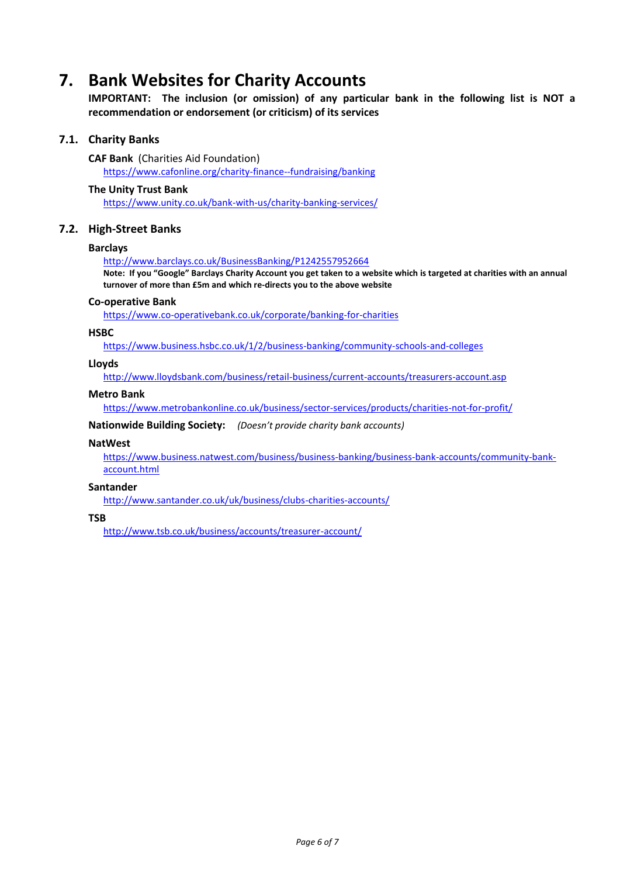# **7. Bank Websites for Charity Accounts**

**IMPORTANT: The inclusion (or omission) of any particular bank in the following list is NOT a recommendation or endorsement (or criticism) of its services**

### **7.1. Charity Banks**

**CAF Bank** (Charities Aid Foundation) <https://www.cafonline.org/charity-finance--fundraising/banking>

#### **The Unity Trust Bank**

<https://www.unity.co.uk/bank-with-us/charity-banking-services/>

### **7.2. High-Street Banks**

#### **Barclays**

<http://www.barclays.co.uk/BusinessBanking/P1242557952664>

**Note: If you "Google" Barclays Charity Account you get taken to a website which is targeted at charities with an annual turnover of more than £5m and which re-directs you to the above website**

#### **Co-operative Bank**

<https://www.co-operativebank.co.uk/corporate/banking-for-charities>

#### **HSBC**

<https://www.business.hsbc.co.uk/1/2/business-banking/community-schools-and-colleges>

#### **Lloyds**

<http://www.lloydsbank.com/business/retail-business/current-accounts/treasurers-account.asp>

#### **Metro Bank**

https://www.metrobankonline.co.uk/business/sector-services/products/charities-not-for-profit/

**Nationwide Building Society:** *(Doesn't provide charity bank accounts)*

#### **NatWest**

https://www.business.natwest.com/business/business-banking/business-bank-accounts/community-bankaccount.html

#### **Santander**

<http://www.santander.co.uk/uk/business/clubs-charities-accounts/>

#### **TSB**

<http://www.tsb.co.uk/business/accounts/treasurer-account/>